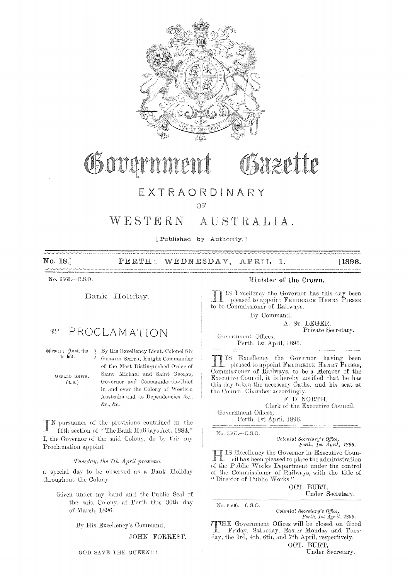

# Governme Sazette

## EXTRAORDINARY

OF

#### WESTERN AUSTRALIA.

[Published by Authority.]

WEDNESDAY, No. 18. PERTH:  $[1896.$ APRIL 1.

No.  $6563 - C.S.O.$ 

 $\sim$ 

Bank Holiday.

#### $1014$ PROCLAMATION

Mestern Australia, 7 to wit.

> GERARD SMITH.  $(L.S.)$

By His Excellency Lieut.-Colonel Sir GERARD SMITH, Knight Commander of the Most Distinguished Order of Saint Michael and Saint George. Governor and Commander-in-Chief in and over the Colony of Western Australia and its Dependencies, &c., &c., &c.

N pursuance of the provisions contained in the fifth section of "The Bank Holidays Act, 1884," I, the Governor of the said Colony, do by this my Proclamation appoint

Tuesday, the 7th April proximo,

a special day to be observed as a Bank Holiday throughout the Colony.

Given under my hand and the Public Seal of the said Colony, at Perth, this 30th day of March, 1896.

By His Excellency's Command,

JOHN FORREST.

### Minister of the Crown.

IS Excellency the Governor has this day been pleased to appoint FREDERICK HENRY PIESSE to be Commissioner of Railways.

By Command,

A. Sr. LEGER,

Private Secretary.

Government Offices, Perth, 1st April, 1896.

IS Excellency the Governor having been pleased to appoint FREDERICK HENRY PIESSE, Commissioner of Railways, to be a Member of the Executive Council, it is hereby notified that he has this day taken the necessary Oaths, and his seat at the Council Chamber accordingly.

F. D. NORTH. Clerk of the Executive Council. Government Offices.

Perth, 1st April, 1896.

No. 6565.--C.S.O.

Colonial Secretary's Office, Perth, 1st April, 1896.

IS Excellency the Governor in Executive Coun- $\operatorname{cil}$  has been pleased to place the administration of the Public Works Department under the control of the Commissioner of Railways, with the title of "Director of Public Works."

OCT. BURT.

Under Secretary.

No. 6566.-C.S.O. Colonial Secretary's Office,<br>Perth, 1st April, 1896.

**TIME** Government Offices will be closed on Good Friday, Saturday, Easter Monday and Tuesday, the 3rd, 4th, 6th, and 7th April, respectively. OCT. BURT,

Under Secretary.